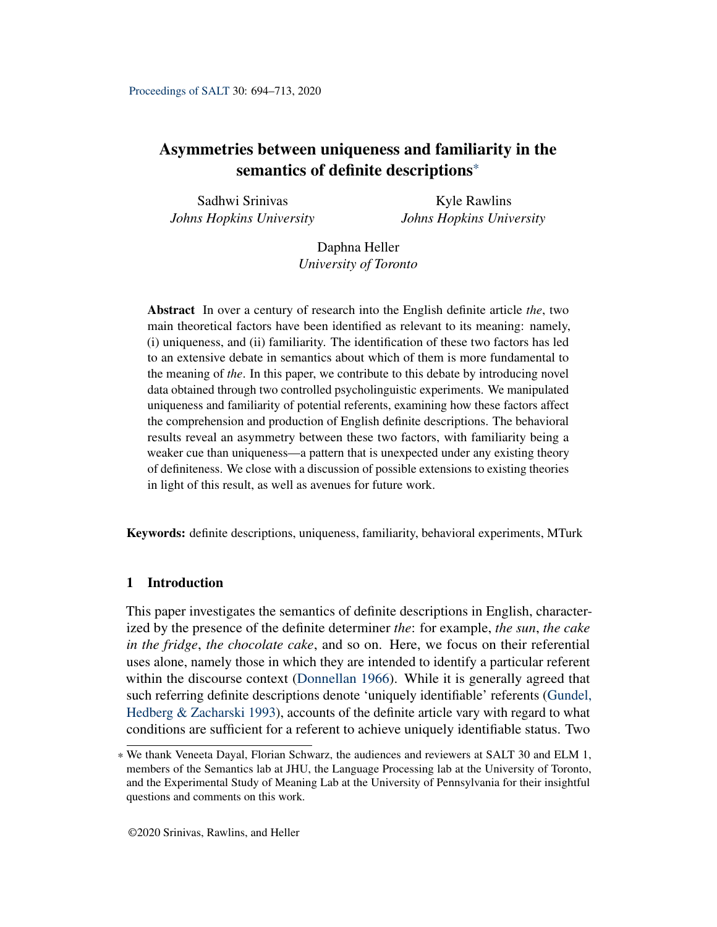# <span id="page-0-0"></span>Asymmetries between uniqueness and familiarity in the semantics of definite descriptions\*

Sadhwi Srinivas *Johns Hopkins University*

Kyle Rawlins *Johns Hopkins University*

Daphna Heller *University of Toronto*

Abstract In over a century of research into the English definite article *the*, two main theoretical factors have been identified as relevant to its meaning: namely, (i) uniqueness, and (ii) familiarity. The identification of these two factors has led to an extensive debate in semantics about which of them is more fundamental to the meaning of *the*. In this paper, we contribute to this debate by introducing novel data obtained through two controlled psycholinguistic experiments. We manipulated uniqueness and familiarity of potential referents, examining how these factors affect the comprehension and production of English definite descriptions. The behavioral results reveal an asymmetry between these two factors, with familiarity being a weaker cue than uniqueness—a pattern that is unexpected under any existing theory of definiteness. We close with a discussion of possible extensions to existing theories in light of this result, as well as avenues for future work.

Keywords: definite descriptions, uniqueness, familiarity, behavioral experiments, MTurk

# 1 Introduction

This paper investigates the semantics of definite descriptions in English, characterized by the presence of the definite determiner *the*: for example, *the sun*, *the cake in the fridge*, *the chocolate cake*, and so on. Here, we focus on their referential uses alone, namely those in which they are intended to identify a particular referent within the discourse context [\(Donnellan](#page-18-0) [1966\)](#page-18-0). While it is generally agreed that such referring definite descriptions denote 'uniquely identifiable' referents [\(Gundel,](#page-18-1) [Hedberg & Zacharski](#page-18-1) [1993\)](#page-18-1), accounts of the definite article vary with regard to what conditions are sufficient for a referent to achieve uniquely identifiable status. Two

<sup>\*</sup> We thank Veneeta Dayal, Florian Schwarz, the audiences and reviewers at SALT 30 and ELM 1, members of the Semantics lab at JHU, the Language Processing lab at the University of Toronto, and the Experimental Study of Meaning Lab at the University of Pennsylvania for their insightful questions and comments on this work.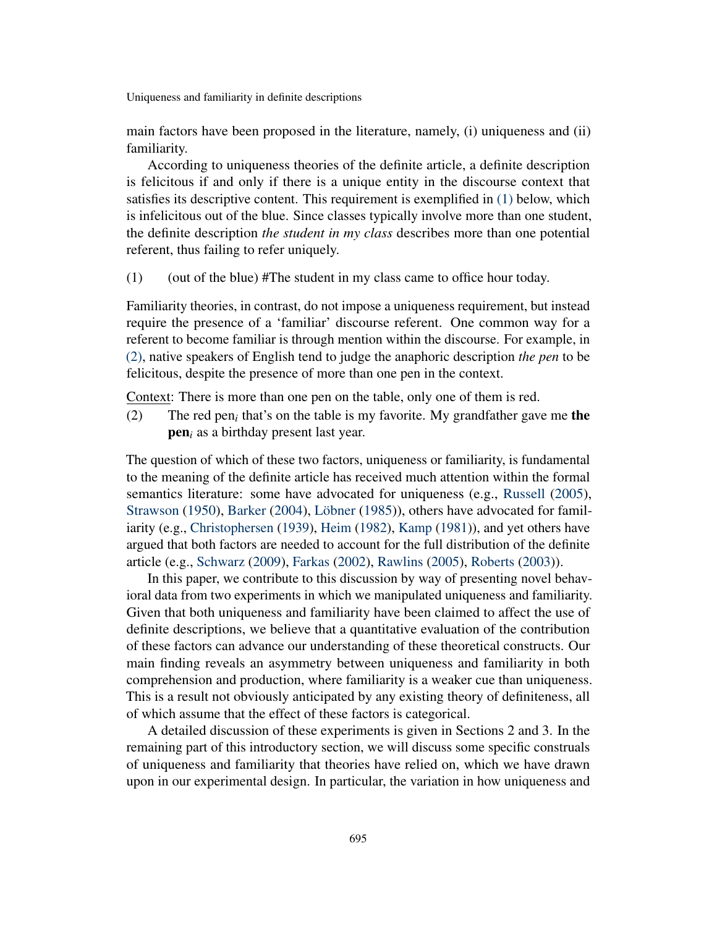main factors have been proposed in the literature, namely, (i) uniqueness and (ii) familiarity.

According to uniqueness theories of the definite article, a definite description is felicitous if and only if there is a unique entity in the discourse context that satisfies its descriptive content. This requirement is exemplified in [\(1\)](#page-1-0) below, which is infelicitous out of the blue. Since classes typically involve more than one student, the definite description *the student in my class* describes more than one potential referent, thus failing to refer uniquely.

<span id="page-1-0"></span> $(1)$  (out of the blue) #The student in my class came to office hour today.

Familiarity theories, in contrast, do not impose a uniqueness requirement, but instead require the presence of a 'familiar' discourse referent. One common way for a referent to become familiar is through mention within the discourse. For example, in [\(2\),](#page-1-1) native speakers of English tend to judge the anaphoric description *the pen* to be felicitous, despite the presence of more than one pen in the context.

<span id="page-1-1"></span>Context: There is more than one pen on the table, only one of them is red.

(2) The red pen<sub>i</sub> that's on the table is my favorite. My grandfather gave me **the** pen*<sup>i</sup>* as a birthday present last year.

The question of which of these two factors, uniqueness or familiarity, is fundamental to the meaning of the definite article has received much attention within the formal semantics literature: some have advocated for uniqueness (e.g., [Russell](#page-18-2) [\(2005\)](#page-18-2), [Strawson](#page-18-3) [\(1950\)](#page-18-3), [Barker](#page-17-0) [\(2004\)](#page-17-0), [Löbner](#page-18-4) [\(1985\)](#page-18-4)), others have advocated for familiarity (e.g., [Christophersen](#page-17-1) [\(1939\)](#page-17-1), [Heim](#page-18-5) [\(1982\)](#page-18-5), [Kamp](#page-18-6) [\(1981\)](#page-18-6)), and yet others have argued that both factors are needed to account for the full distribution of the definite article (e.g., [Schwarz](#page-18-7) [\(2009\)](#page-18-7), [Farkas](#page-18-8) [\(2002\)](#page-18-8), [Rawlins](#page-18-9) [\(2005\)](#page-18-9), [Roberts](#page-18-10) [\(2003\)](#page-18-10)).

In this paper, we contribute to this discussion by way of presenting novel behavioral data from two experiments in which we manipulated uniqueness and familiarity. Given that both uniqueness and familiarity have been claimed to affect the use of definite descriptions, we believe that a quantitative evaluation of the contribution of these factors can advance our understanding of these theoretical constructs. Our main finding reveals an asymmetry between uniqueness and familiarity in both comprehension and production, where familiarity is a weaker cue than uniqueness. This is a result not obviously anticipated by any existing theory of definiteness, all of which assume that the effect of these factors is categorical.

A detailed discussion of these experiments is given in Sections 2 and 3. In the remaining part of this introductory section, we will discuss some specific construals of uniqueness and familiarity that theories have relied on, which we have drawn upon in our experimental design. In particular, the variation in how uniqueness and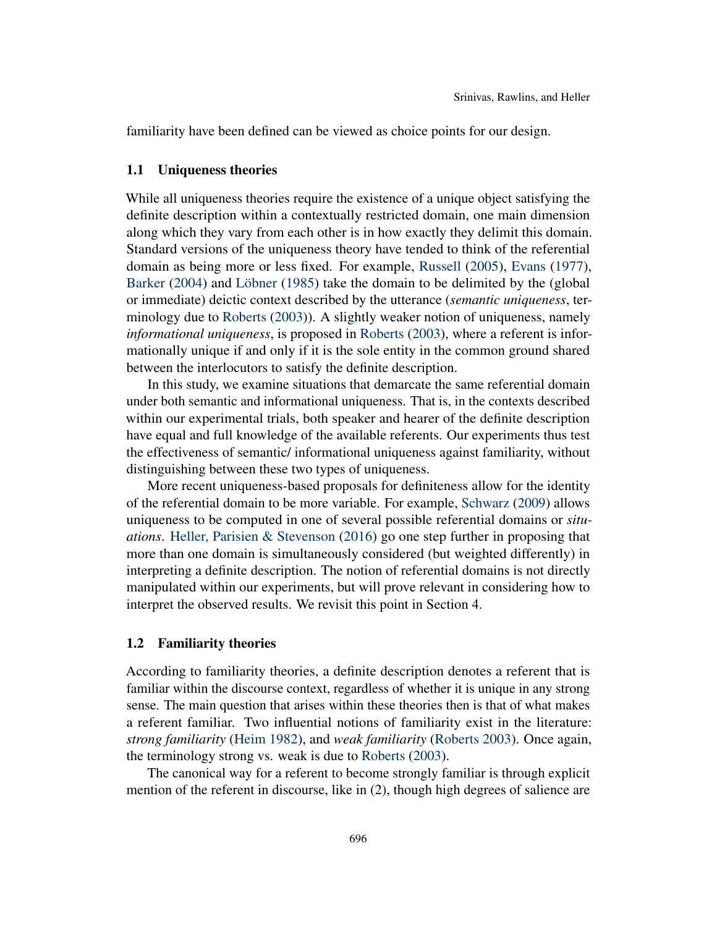familiarity have been defined can be viewed as choice points for our design.

## 1.1 Uniqueness theories

While all uniqueness theories require the existence of a unique object satisfying the definite description within a contextually restricted domain, one main dimension along which they vary from each other is in how exactly they delimit this domain. Standard versions of the uniqueness theory have tended to think of the referential domain as being more or less fixed. For example, [Russell](#page-18-2) [\(2005\)](#page-18-2), [Evans](#page-18-11) [\(1977\)](#page-18-11), [Barker](#page-17-0) [\(2004\)](#page-17-0) and [Löbner](#page-18-4) [\(1985\)](#page-18-4) take the domain to be delimited by the (global or immediate) deictic context described by the utterance (*semantic uniqueness*, terminology due to [Roberts](#page-18-10) [\(2003\)](#page-18-10)). A slightly weaker notion of uniqueness, namely *informational uniqueness*, is proposed in [Roberts](#page-18-10) [\(2003\)](#page-18-10), where a referent is informationally unique if and only if it is the sole entity in the common ground shared between the interlocutors to satisfy the definite description.

In this study, we examine situations that demarcate the same referential domain under both semantic and informational uniqueness. That is, in the contexts described within our experimental trials, both speaker and hearer of the definite description have equal and full knowledge of the available referents. Our experiments thus test the effectiveness of semantic/ informational uniqueness against familiarity, without distinguishing between these two types of uniqueness.

More recent uniqueness-based proposals for definiteness allow for the identity of the referential domain to be more variable. For example, [Schwarz](#page-18-7) [\(2009\)](#page-18-7) allows uniqueness to be computed in one of several possible referential domains or *situations*. [Heller, Parisien & Stevenson](#page-18-12) [\(2016\)](#page-18-12) go one step further in proposing that more than one domain is simultaneously considered (but weighted differently) in interpreting a definite description. The notion of referential domains is not directly manipulated within our experiments, but will prove relevant in considering how to interpret the observed results. We revisit this point in Section 4.

# 1.2 Familiarity theories

According to familiarity theories, a definite description denotes a referent that is familiar within the discourse context, regardless of whether it is unique in any strong sense. The main question that arises within these theories then is that of what makes a referent familiar. Two influential notions of familiarity exist in the literature: *strong familiarity* [\(Heim](#page-18-5) [1982\)](#page-18-5), and *weak familiarity* [\(Roberts](#page-18-10) [2003\)](#page-18-10). Once again, the terminology strong vs. weak is due to [Roberts](#page-18-10) [\(2003\)](#page-18-10).

The canonical way for a referent to become strongly familiar is through explicit mention of the referent in discourse, like in (2), though high degrees of salience are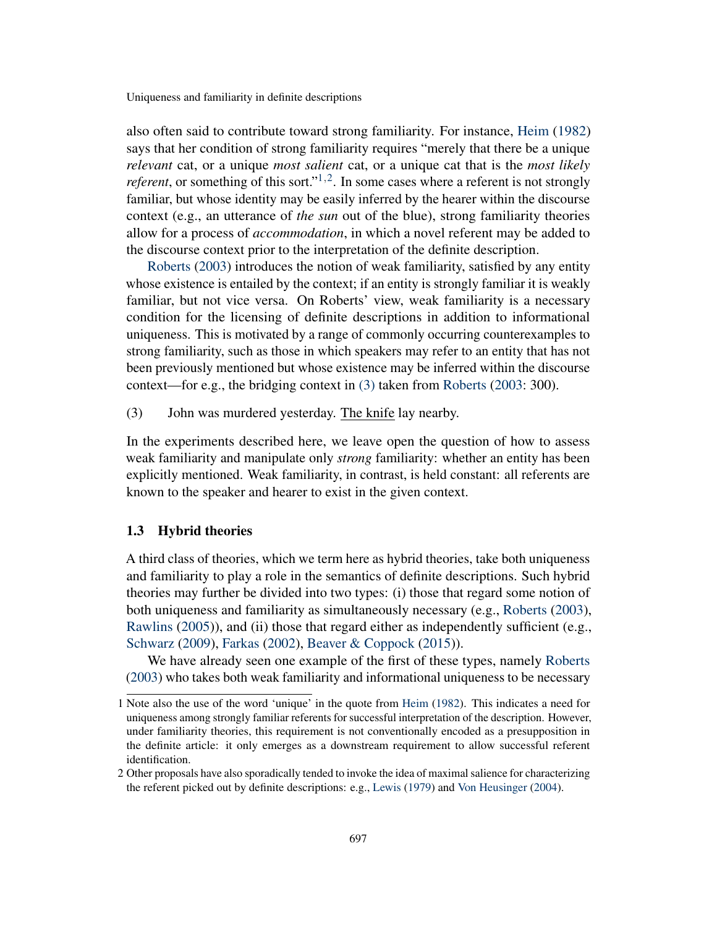also often said to contribute toward strong familiarity. For instance, [Heim](#page-18-5) [\(1982\)](#page-18-5) says that her condition of strong familiarity requires "merely that there be a unique *relevant* cat, or a unique *most salient* cat, or a unique cat that is the *most likely referent*, or something of this sort."<sup>[1](#page-0-0),[2](#page-0-0)</sup>. In some cases where a referent is not strongly familiar, but whose identity may be easily inferred by the hearer within the discourse context (e.g., an utterance of *the sun* out of the blue), strong familiarity theories allow for a process of *accommodation*, in which a novel referent may be added to the discourse context prior to the interpretation of the definite description.

[Roberts](#page-18-10) [\(2003\)](#page-18-10) introduces the notion of weak familiarity, satisfied by any entity whose existence is entailed by the context; if an entity is strongly familiar it is weakly familiar, but not vice versa. On Roberts' view, weak familiarity is a necessary condition for the licensing of definite descriptions in addition to informational uniqueness. This is motivated by a range of commonly occurring counterexamples to strong familiarity, such as those in which speakers may refer to an entity that has not been previously mentioned but whose existence may be inferred within the discourse context—for e.g., the bridging context in [\(3\)](#page-3-0) taken from [Roberts](#page-18-10) [\(2003:](#page-18-10) 300).

<span id="page-3-0"></span>(3) John was murdered yesterday. The knife lay nearby.

In the experiments described here, we leave open the question of how to assess weak familiarity and manipulate only *strong* familiarity: whether an entity has been explicitly mentioned. Weak familiarity, in contrast, is held constant: all referents are known to the speaker and hearer to exist in the given context.

## 1.3 Hybrid theories

A third class of theories, which we term here as hybrid theories, take both uniqueness and familiarity to play a role in the semantics of definite descriptions. Such hybrid theories may further be divided into two types: (i) those that regard some notion of both uniqueness and familiarity as simultaneously necessary (e.g., [Roberts](#page-18-10) [\(2003\)](#page-18-10), [Rawlins](#page-18-9) [\(2005\)](#page-18-9)), and (ii) those that regard either as independently sufficient (e.g., [Schwarz](#page-18-7) [\(2009\)](#page-18-7), [Farkas](#page-18-8) [\(2002\)](#page-18-8), [Beaver & Coppock](#page-17-2) [\(2015\)](#page-17-2)).

We have already seen one example of the first of these types, namely [Roberts](#page-18-10) [\(2003\)](#page-18-10) who takes both weak familiarity and informational uniqueness to be necessary

<sup>1</sup> Note also the use of the word 'unique' in the quote from [Heim](#page-18-5) [\(1982\)](#page-18-5). This indicates a need for uniqueness among strongly familiar referents for successful interpretation of the description. However, under familiarity theories, this requirement is not conventionally encoded as a presupposition in the definite article: it only emerges as a downstream requirement to allow successful referent identification.

<sup>2</sup> Other proposals have also sporadically tended to invoke the idea of maximal salience for characterizing the referent picked out by definite descriptions: e.g., [Lewis](#page-18-13) [\(1979\)](#page-18-13) and [Von Heusinger](#page-19-0) [\(2004\)](#page-19-0).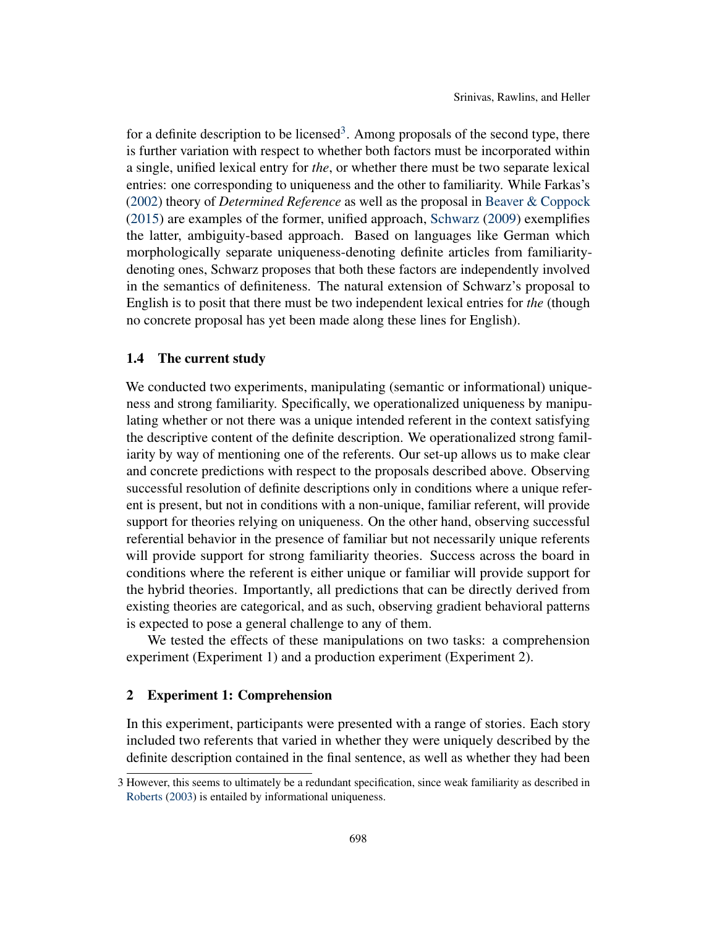for a definite description to be licensed<sup>[3](#page-0-0)</sup>. Among proposals of the second type, there is further variation with respect to whether both factors must be incorporated within a single, unified lexical entry for *the*, or whether there must be two separate lexical entries: one corresponding to uniqueness and the other to familiarity. While Farkas's [\(2002\)](#page-18-8) theory of *Determined Reference* as well as the proposal in [Beaver & Coppock](#page-17-2) [\(2015\)](#page-17-2) are examples of the former, unified approach, [Schwarz](#page-18-7) [\(2009\)](#page-18-7) exemplifies the latter, ambiguity-based approach. Based on languages like German which morphologically separate uniqueness-denoting definite articles from familiaritydenoting ones, Schwarz proposes that both these factors are independently involved in the semantics of definiteness. The natural extension of Schwarz's proposal to English is to posit that there must be two independent lexical entries for *the* (though no concrete proposal has yet been made along these lines for English).

## 1.4 The current study

We conducted two experiments, manipulating (semantic or informational) uniqueness and strong familiarity. Specifically, we operationalized uniqueness by manipulating whether or not there was a unique intended referent in the context satisfying the descriptive content of the definite description. We operationalized strong familiarity by way of mentioning one of the referents. Our set-up allows us to make clear and concrete predictions with respect to the proposals described above. Observing successful resolution of definite descriptions only in conditions where a unique referent is present, but not in conditions with a non-unique, familiar referent, will provide support for theories relying on uniqueness. On the other hand, observing successful referential behavior in the presence of familiar but not necessarily unique referents will provide support for strong familiarity theories. Success across the board in conditions where the referent is either unique or familiar will provide support for the hybrid theories. Importantly, all predictions that can be directly derived from existing theories are categorical, and as such, observing gradient behavioral patterns is expected to pose a general challenge to any of them.

We tested the effects of these manipulations on two tasks: a comprehension experiment (Experiment 1) and a production experiment (Experiment 2).

# 2 Experiment 1: Comprehension

In this experiment, participants were presented with a range of stories. Each story included two referents that varied in whether they were uniquely described by the definite description contained in the final sentence, as well as whether they had been

<sup>3</sup> However, this seems to ultimately be a redundant specification, since weak familiarity as described in [Roberts](#page-18-10) [\(2003\)](#page-18-10) is entailed by informational uniqueness.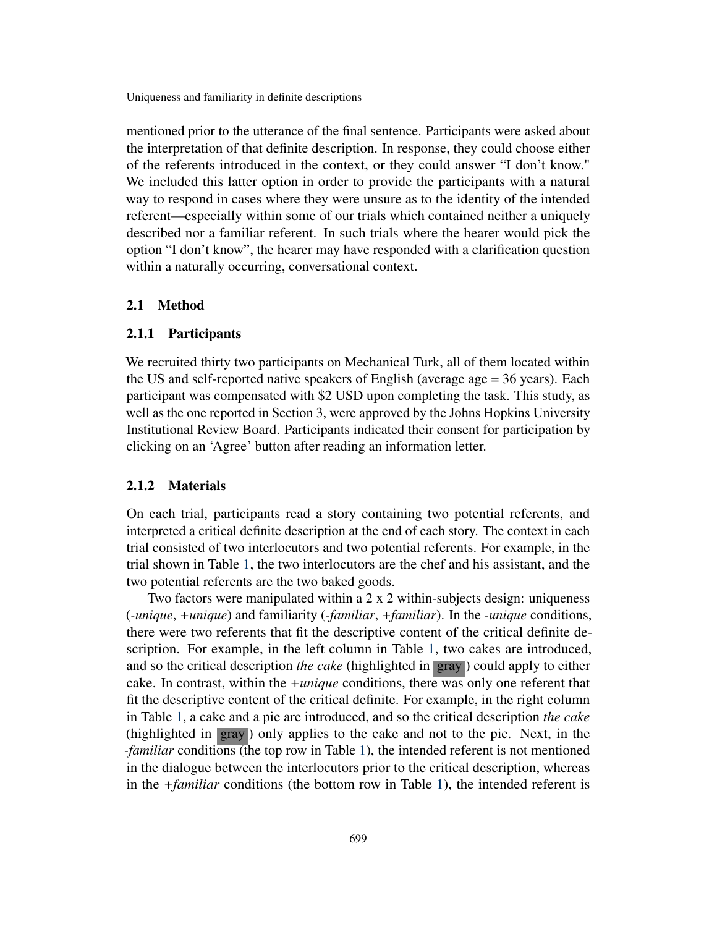mentioned prior to the utterance of the final sentence. Participants were asked about the interpretation of that definite description. In response, they could choose either of the referents introduced in the context, or they could answer "I don't know." We included this latter option in order to provide the participants with a natural way to respond in cases where they were unsure as to the identity of the intended referent—especially within some of our trials which contained neither a uniquely described nor a familiar referent. In such trials where the hearer would pick the option "I don't know", the hearer may have responded with a clarification question within a naturally occurring, conversational context.

#### 2.1 Method

#### 2.1.1 Participants

We recruited thirty two participants on Mechanical Turk, all of them located within the US and self-reported native speakers of English (average age = 36 years). Each participant was compensated with \$2 USD upon completing the task. This study, as well as the one reported in Section 3, were approved by the Johns Hopkins University Institutional Review Board. Participants indicated their consent for participation by clicking on an 'Agree' button after reading an information letter.

#### 2.1.2 Materials

On each trial, participants read a story containing two potential referents, and interpreted a critical definite description at the end of each story. The context in each trial consisted of two interlocutors and two potential referents. For example, in the trial shown in Table [1,](#page-6-0) the two interlocutors are the chef and his assistant, and the two potential referents are the two baked goods.

Two factors were manipulated within a 2 x 2 within-subjects design: uniqueness (*-unique*, *+unique*) and familiarity (*-familiar*, *+familiar*). In the *-unique* conditions, there were two referents that fit the descriptive content of the critical definite description. For example, in the left column in Table [1,](#page-6-0) two cakes are introduced, and so the critical description *the cake* (highlighted in gray ) could apply to either cake. In contrast, within the *+unique* conditions, there was only one referent that fit the descriptive content of the critical definite. For example, in the right column in Table [1,](#page-6-0) a cake and a pie are introduced, and so the critical description *the cake* (highlighted in gray ) only applies to the cake and not to the pie. Next, in the *-familiar* conditions (the top row in Table [1\)](#page-6-0), the intended referent is not mentioned in the dialogue between the interlocutors prior to the critical description, whereas in the *+familiar* conditions (the bottom row in Table [1\)](#page-6-0), the intended referent is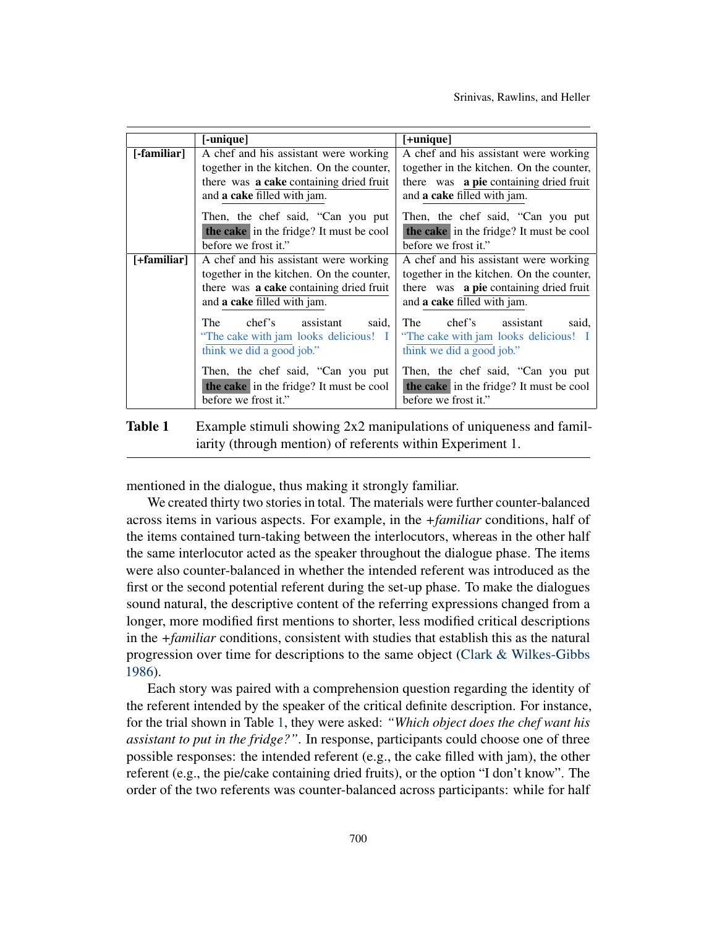|             | [-unique]                                | [+unique]                                     |
|-------------|------------------------------------------|-----------------------------------------------|
| [-familiar] | A chef and his assistant were working    | A chef and his assistant were working         |
|             | together in the kitchen. On the counter, | together in the kitchen. On the counter,      |
|             | there was a cake containing dried fruit  | there was <b>a pie</b> containing dried fruit |
|             | and a cake filled with jam.              | and a cake filled with jam.                   |
|             | Then, the chef said, "Can you put        | Then, the chef said, "Can you put             |
|             | the cake in the fridge? It must be cool  | the cake in the fridge? It must be cool       |
|             | before we frost it."                     | before we frost it."                          |
| [+familiar] | A chef and his assistant were working    | A chef and his assistant were working         |
|             | together in the kitchen. On the counter, | together in the kitchen. On the counter,      |
|             | there was a cake containing dried fruit  | there was a pie containing dried fruit        |
|             | and a cake filled with jam.              | and a cake filled with jam.                   |
|             | The<br>chef's assistant<br>said.         | The<br>chef's assistant<br>said,              |
|             | "The cake with jam looks delicious! I    | "The cake with jam looks delicious! I         |
|             | think we did a good job."                | think we did a good job."                     |
|             | Then, the chef said, "Can you put        | Then, the chef said, "Can you put             |
|             | the cake in the fridge? It must be cool  | the cake in the fridge? It must be cool       |
|             | before we frost it."                     | before we frost it."                          |

<span id="page-6-0"></span>Table 1 Example stimuli showing 2x2 manipulations of uniqueness and familiarity (through mention) of referents within Experiment 1.

mentioned in the dialogue, thus making it strongly familiar.

We created thirty two stories in total. The materials were further counter-balanced across items in various aspects. For example, in the *+familiar* conditions, half of the items contained turn-taking between the interlocutors, whereas in the other half the same interlocutor acted as the speaker throughout the dialogue phase. The items were also counter-balanced in whether the intended referent was introduced as the first or the second potential referent during the set-up phase. To make the dialogues sound natural, the descriptive content of the referring expressions changed from a longer, more modified first mentions to shorter, less modified critical descriptions in the *+familiar* conditions, consistent with studies that establish this as the natural progression over time for descriptions to the same object [\(Clark & Wilkes-Gibbs](#page-17-3) [1986\)](#page-17-3).

Each story was paired with a comprehension question regarding the identity of the referent intended by the speaker of the critical definite description. For instance, for the trial shown in Table [1,](#page-6-0) they were asked: *"Which object does the chef want his assistant to put in the fridge?"*. In response, participants could choose one of three possible responses: the intended referent (e.g., the cake filled with jam), the other referent (e.g., the pie/cake containing dried fruits), or the option "I don't know". The order of the two referents was counter-balanced across participants: while for half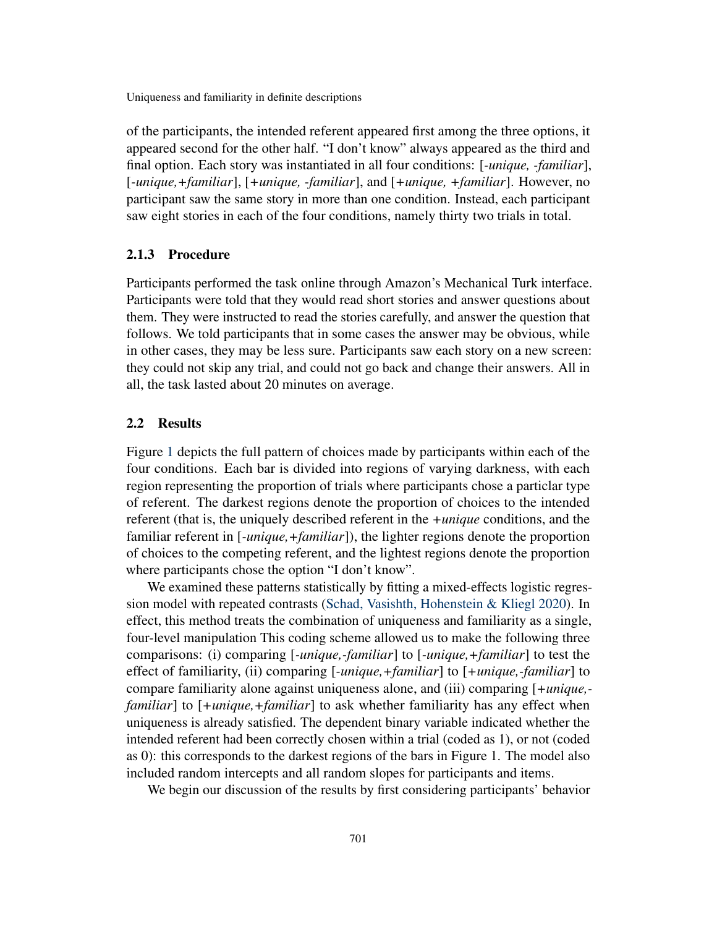of the participants, the intended referent appeared first among the three options, it appeared second for the other half. "I don't know" always appeared as the third and final option. Each story was instantiated in all four conditions: [*-unique, -familiar*], [*-unique,+familiar*], [*+unique, -familiar*], and [*+unique, +familiar*]. However, no participant saw the same story in more than one condition. Instead, each participant saw eight stories in each of the four conditions, namely thirty two trials in total.

#### 2.1.3 Procedure

Participants performed the task online through Amazon's Mechanical Turk interface. Participants were told that they would read short stories and answer questions about them. They were instructed to read the stories carefully, and answer the question that follows. We told participants that in some cases the answer may be obvious, while in other cases, they may be less sure. Participants saw each story on a new screen: they could not skip any trial, and could not go back and change their answers. All in all, the task lasted about 20 minutes on average.

# 2.2 Results

Figure [1](#page-8-0) depicts the full pattern of choices made by participants within each of the four conditions. Each bar is divided into regions of varying darkness, with each region representing the proportion of trials where participants chose a particlar type of referent. The darkest regions denote the proportion of choices to the intended referent (that is, the uniquely described referent in the *+unique* conditions, and the familiar referent in [*-unique,+familiar*]), the lighter regions denote the proportion of choices to the competing referent, and the lightest regions denote the proportion where participants chose the option "I don't know".

We examined these patterns statistically by fitting a mixed-effects logistic regression model with repeated contrasts [\(Schad, Vasishth, Hohenstein & Kliegl](#page-18-14) [2020\)](#page-18-14). In effect, this method treats the combination of uniqueness and familiarity as a single, four-level manipulation This coding scheme allowed us to make the following three comparisons: (i) comparing [*-unique,-familiar*] to [*-unique,+familiar*] to test the effect of familiarity, (ii) comparing [*-unique,+familiar*] to [*+unique,-familiar*] to compare familiarity alone against uniqueness alone, and (iii) comparing [*+unique, familiar*] to [*+unique,+familiar*] to ask whether familiarity has any effect when uniqueness is already satisfied. The dependent binary variable indicated whether the intended referent had been correctly chosen within a trial (coded as 1), or not (coded as 0): this corresponds to the darkest regions of the bars in Figure 1. The model also included random intercepts and all random slopes for participants and items.

We begin our discussion of the results by first considering participants' behavior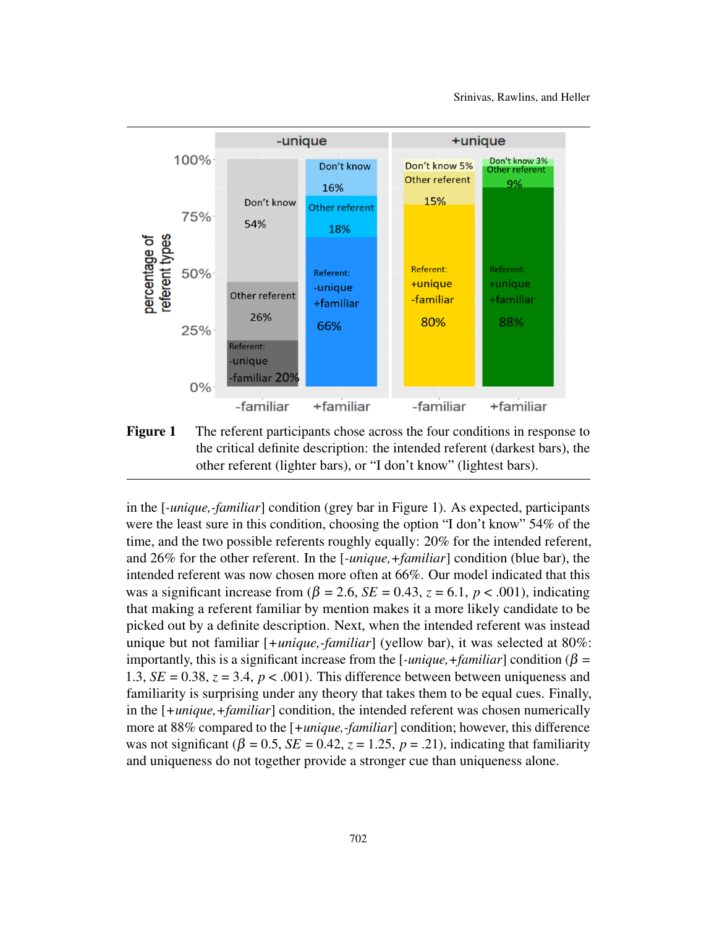

<span id="page-8-0"></span>Figure 1 The referent participants chose across the four conditions in response to the critical definite description: the intended referent (darkest bars), the other referent (lighter bars), or "I don't know" (lightest bars).

in the [*-unique,-familiar*] condition (grey bar in Figure 1). As expected, participants were the least sure in this condition, choosing the option "I don't know" 54% of the time, and the two possible referents roughly equally: 20% for the intended referent, and 26% for the other referent. In the [*-unique,+familiar*] condition (blue bar), the intended referent was now chosen more often at 66%. Our model indicated that this was a significant increase from  $(\beta = 2.6, SE = 0.43, z = 6.1, p < .001)$ , indicating that making a referent familiar by mention makes it a more likely candidate to be picked out by a definite description. Next, when the intended referent was instead unique but not familiar [*+unique,-familiar*] (yellow bar), it was selected at 80%: importantly, this is a significant increase from the [*-unique,+familiar*] condition ( $\beta$  = 1.3,  $SE = 0.38$ ,  $z = 3.4$ ,  $p < .001$ ). This difference between between uniqueness and familiarity is surprising under any theory that takes them to be equal cues. Finally, in the [*+unique,+familiar*] condition, the intended referent was chosen numerically more at 88% compared to the [*+unique,-familiar*] condition; however, this difference was not significant ( $\beta = 0.5$ ,  $SE = 0.42$ ,  $z = 1.25$ ,  $p = .21$ ), indicating that familiarity and uniqueness do not together provide a stronger cue than uniqueness alone.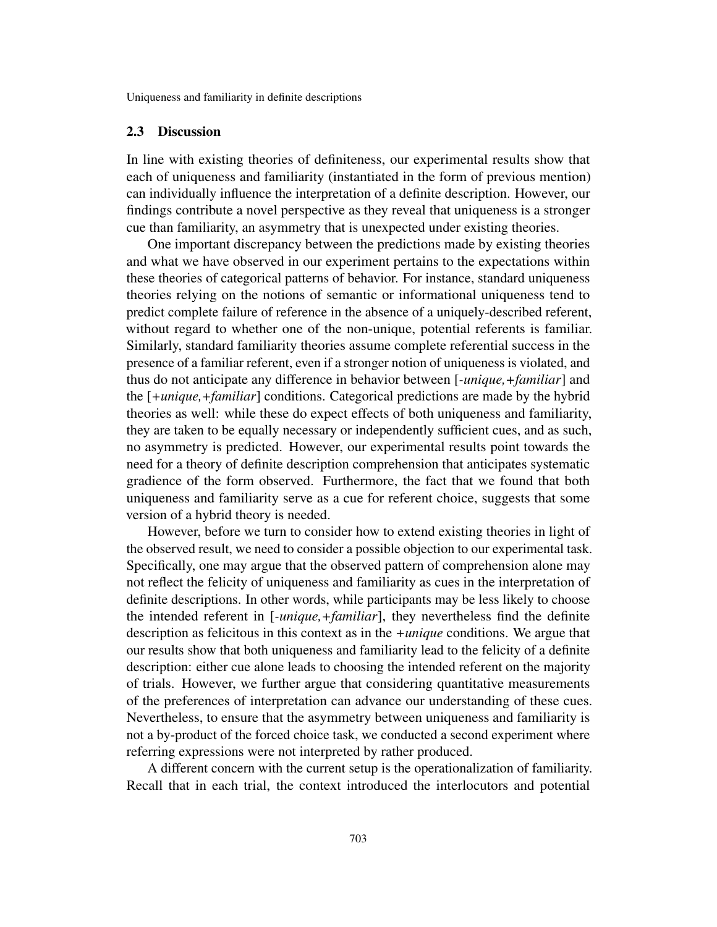## 2.3 Discussion

In line with existing theories of definiteness, our experimental results show that each of uniqueness and familiarity (instantiated in the form of previous mention) can individually influence the interpretation of a definite description. However, our findings contribute a novel perspective as they reveal that uniqueness is a stronger cue than familiarity, an asymmetry that is unexpected under existing theories.

One important discrepancy between the predictions made by existing theories and what we have observed in our experiment pertains to the expectations within these theories of categorical patterns of behavior. For instance, standard uniqueness theories relying on the notions of semantic or informational uniqueness tend to predict complete failure of reference in the absence of a uniquely-described referent, without regard to whether one of the non-unique, potential referents is familiar. Similarly, standard familiarity theories assume complete referential success in the presence of a familiar referent, even if a stronger notion of uniqueness is violated, and thus do not anticipate any difference in behavior between [*-unique,+familiar*] and the [*+unique,+familiar*] conditions. Categorical predictions are made by the hybrid theories as well: while these do expect effects of both uniqueness and familiarity, they are taken to be equally necessary or independently sufficient cues, and as such, no asymmetry is predicted. However, our experimental results point towards the need for a theory of definite description comprehension that anticipates systematic gradience of the form observed. Furthermore, the fact that we found that both uniqueness and familiarity serve as a cue for referent choice, suggests that some version of a hybrid theory is needed.

However, before we turn to consider how to extend existing theories in light of the observed result, we need to consider a possible objection to our experimental task. Specifically, one may argue that the observed pattern of comprehension alone may not reflect the felicity of uniqueness and familiarity as cues in the interpretation of definite descriptions. In other words, while participants may be less likely to choose the intended referent in [*-unique,+familiar*], they nevertheless find the definite description as felicitous in this context as in the *+unique* conditions. We argue that our results show that both uniqueness and familiarity lead to the felicity of a definite description: either cue alone leads to choosing the intended referent on the majority of trials. However, we further argue that considering quantitative measurements of the preferences of interpretation can advance our understanding of these cues. Nevertheless, to ensure that the asymmetry between uniqueness and familiarity is not a by-product of the forced choice task, we conducted a second experiment where referring expressions were not interpreted by rather produced.

A different concern with the current setup is the operationalization of familiarity. Recall that in each trial, the context introduced the interlocutors and potential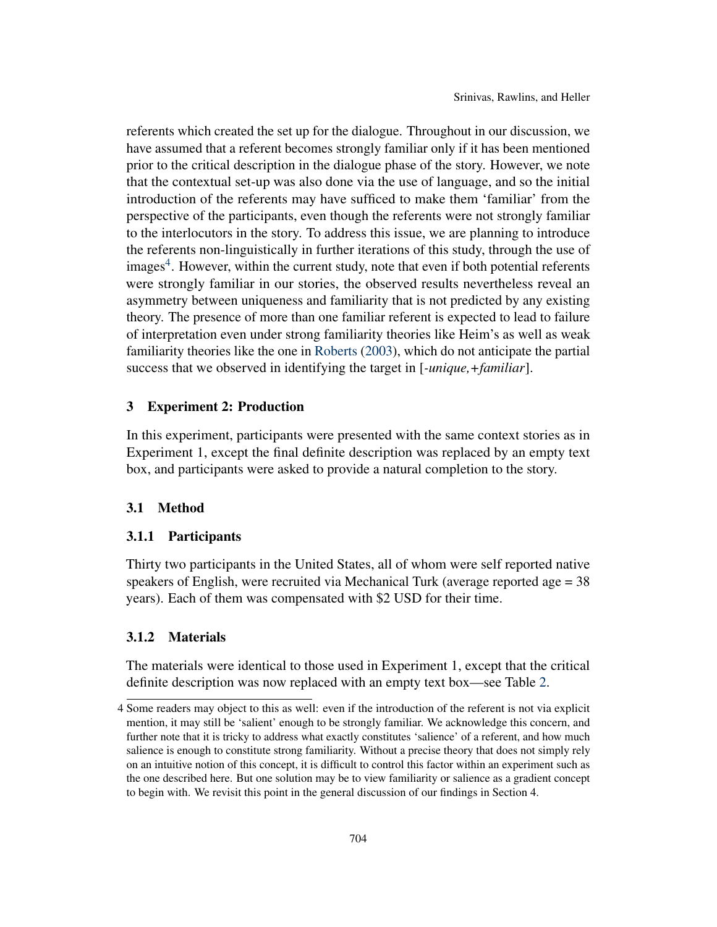referents which created the set up for the dialogue. Throughout in our discussion, we have assumed that a referent becomes strongly familiar only if it has been mentioned prior to the critical description in the dialogue phase of the story. However, we note that the contextual set-up was also done via the use of language, and so the initial introduction of the referents may have sufficed to make them 'familiar' from the perspective of the participants, even though the referents were not strongly familiar to the interlocutors in the story. To address this issue, we are planning to introduce the referents non-linguistically in further iterations of this study, through the use of images<sup>[4](#page-0-0)</sup>. However, within the current study, note that even if both potential referents were strongly familiar in our stories, the observed results nevertheless reveal an asymmetry between uniqueness and familiarity that is not predicted by any existing theory. The presence of more than one familiar referent is expected to lead to failure of interpretation even under strong familiarity theories like Heim's as well as weak familiarity theories like the one in [Roberts](#page-18-10) [\(2003\)](#page-18-10), which do not anticipate the partial success that we observed in identifying the target in [*-unique,+familiar*].

# 3 Experiment 2: Production

In this experiment, participants were presented with the same context stories as in Experiment 1, except the final definite description was replaced by an empty text box, and participants were asked to provide a natural completion to the story.

## 3.1 Method

# 3.1.1 Participants

Thirty two participants in the United States, all of whom were self reported native speakers of English, were recruited via Mechanical Turk (average reported age = 38 years). Each of them was compensated with \$2 USD for their time.

# 3.1.2 Materials

The materials were identical to those used in Experiment 1, except that the critical definite description was now replaced with an empty text box—see Table [2.](#page-11-0)

<sup>4</sup> Some readers may object to this as well: even if the introduction of the referent is not via explicit mention, it may still be 'salient' enough to be strongly familiar. We acknowledge this concern, and further note that it is tricky to address what exactly constitutes 'salience' of a referent, and how much salience is enough to constitute strong familiarity. Without a precise theory that does not simply rely on an intuitive notion of this concept, it is difficult to control this factor within an experiment such as the one described here. But one solution may be to view familiarity or salience as a gradient concept to begin with. We revisit this point in the general discussion of our findings in Section 4.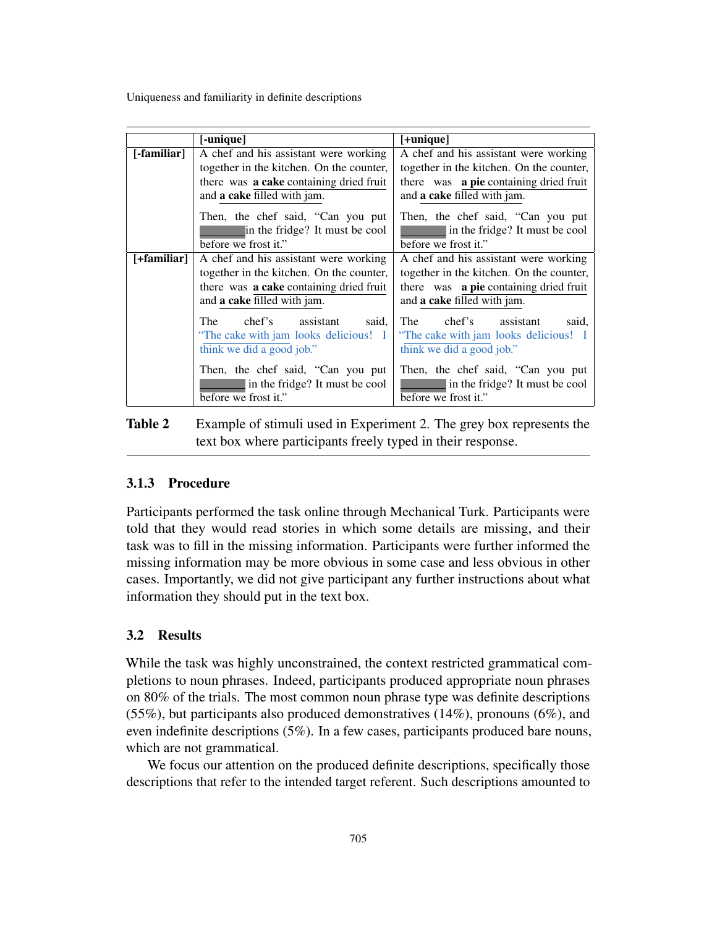|             | [-unique]                                | $[+$ unique $]$                          |
|-------------|------------------------------------------|------------------------------------------|
| [-familiar] | A chef and his assistant were working    | A chef and his assistant were working    |
|             | together in the kitchen. On the counter, | together in the kitchen. On the counter, |
|             | there was a cake containing dried fruit  | there was a pie containing dried fruit   |
|             | and a cake filled with jam.              | and a cake filled with jam.              |
|             | Then, the chef said, "Can you put        | Then, the chef said, "Can you put        |
|             | in the fridge? It must be cool           | in the fridge? It must be cool           |
|             | before we frost it."                     | before we frost it."                     |
| [+familiar] | A chef and his assistant were working    | A chef and his assistant were working    |
|             | together in the kitchen. On the counter, | together in the kitchen. On the counter, |
|             | there was a cake containing dried fruit  | there was a pie containing dried fruit   |
|             | and a cake filled with jam.              | and a cake filled with jam.              |
|             | The<br>chef's assistant<br>said,         | chef's assistant<br>The<br>said.         |
|             | "The cake with jam looks delicious! I    | "The cake with jam looks delicious! I    |
|             | think we did a good job."                | think we did a good job."                |
|             | Then, the chef said, "Can you put        | Then, the chef said, "Can you put        |
|             | in the fridge? It must be cool           | in the fridge? It must be cool           |
|             | before we frost it."                     | before we frost it."                     |

<span id="page-11-0"></span>Table 2 Example of stimuli used in Experiment 2. The grey box represents the text box where participants freely typed in their response.

# 3.1.3 Procedure

Participants performed the task online through Mechanical Turk. Participants were told that they would read stories in which some details are missing, and their task was to fill in the missing information. Participants were further informed the missing information may be more obvious in some case and less obvious in other cases. Importantly, we did not give participant any further instructions about what information they should put in the text box.

#### 3.2 Results

While the task was highly unconstrained, the context restricted grammatical completions to noun phrases. Indeed, participants produced appropriate noun phrases on 80% of the trials. The most common noun phrase type was definite descriptions (55%), but participants also produced demonstratives (14%), pronouns (6%), and even indefinite descriptions (5%). In a few cases, participants produced bare nouns, which are not grammatical.

We focus our attention on the produced definite descriptions, specifically those descriptions that refer to the intended target referent. Such descriptions amounted to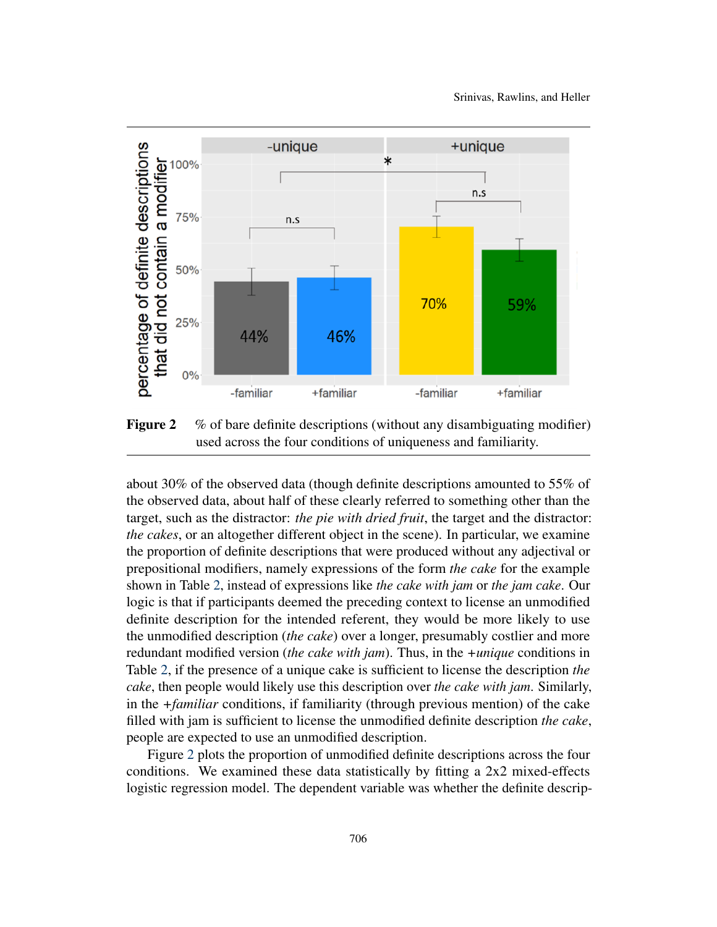

<span id="page-12-0"></span>Figure 2 % of bare definite descriptions (without any disambiguating modifier) used across the four conditions of uniqueness and familiarity.

about 30% of the observed data (though definite descriptions amounted to 55% of the observed data, about half of these clearly referred to something other than the target, such as the distractor: *the pie with dried fruit*, the target and the distractor: *the cakes*, or an altogether different object in the scene). In particular, we examine the proportion of definite descriptions that were produced without any adjectival or prepositional modifiers, namely expressions of the form *the cake* for the example shown in Table [2,](#page-11-0) instead of expressions like *the cake with jam* or *the jam cake*. Our logic is that if participants deemed the preceding context to license an unmodified definite description for the intended referent, they would be more likely to use the unmodified description (*the cake*) over a longer, presumably costlier and more redundant modified version (*the cake with jam*). Thus, in the *+unique* conditions in Table [2,](#page-11-0) if the presence of a unique cake is sufficient to license the description *the cake*, then people would likely use this description over *the cake with jam*. Similarly, in the *+familiar* conditions, if familiarity (through previous mention) of the cake filled with jam is sufficient to license the unmodified definite description *the cake*, people are expected to use an unmodified description.

Figure [2](#page-12-0) plots the proportion of unmodified definite descriptions across the four conditions. We examined these data statistically by fitting a 2x2 mixed-effects logistic regression model. The dependent variable was whether the definite descrip-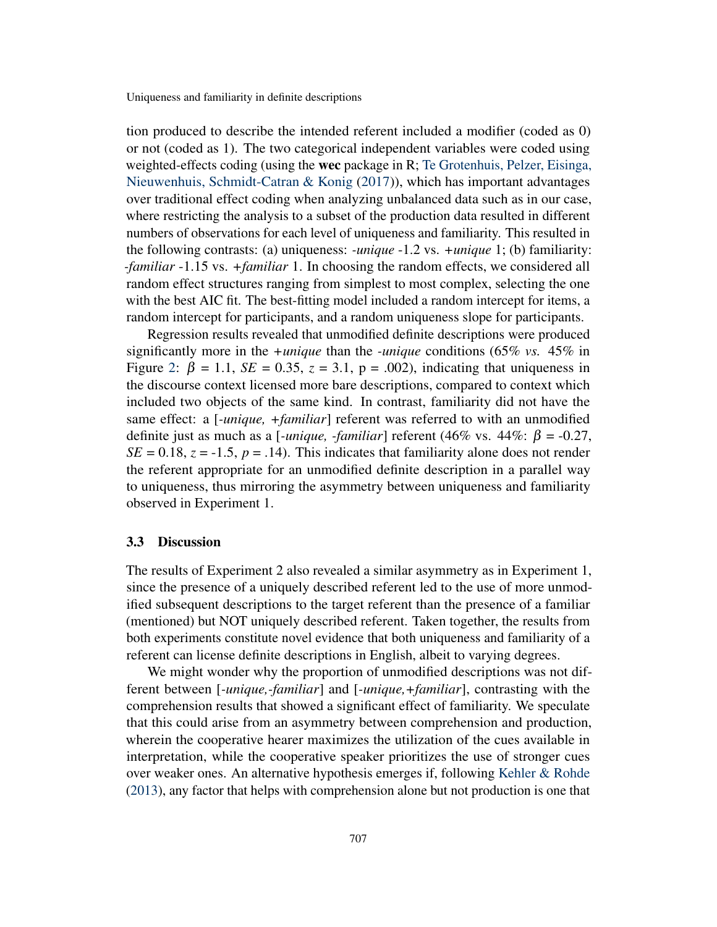tion produced to describe the intended referent included a modifier (coded as 0) or not (coded as 1). The two categorical independent variables were coded using weighted-effects coding (using the wec package in R; [Te Grotenhuis, Pelzer, Eisinga,](#page-18-15) [Nieuwenhuis, Schmidt-Catran & Konig](#page-18-15) [\(2017\)](#page-18-15)), which has important advantages over traditional effect coding when analyzing unbalanced data such as in our case, where restricting the analysis to a subset of the production data resulted in different numbers of observations for each level of uniqueness and familiarity. This resulted in the following contrasts: (a) uniqueness: *-unique* -1.2 vs. *+unique* 1; (b) familiarity: *-familiar* -1.15 vs. *+familiar* 1. In choosing the random effects, we considered all random effect structures ranging from simplest to most complex, selecting the one with the best AIC fit. The best-fitting model included a random intercept for items, a random intercept for participants, and a random uniqueness slope for participants.

Regression results revealed that unmodified definite descriptions were produced significantly more in the *+unique* than the *-unique* conditions (65% *vs.* 45% in Figure [2:](#page-12-0)  $\beta = 1.1$ ,  $SE = 0.35$ ,  $z = 3.1$ ,  $p = .002$ ), indicating that uniqueness in the discourse context licensed more bare descriptions, compared to context which included two objects of the same kind. In contrast, familiarity did not have the same effect: a [*-unique, +familiar*] referent was referred to with an unmodified definite just as much as a [*-unique, -familiar*] referent (46% vs. 44%:  $\beta$  = -0.27,  $SE = 0.18$ ,  $z = -1.5$ ,  $p = .14$ ). This indicates that familiarity alone does not render the referent appropriate for an unmodified definite description in a parallel way to uniqueness, thus mirroring the asymmetry between uniqueness and familiarity observed in Experiment 1.

## 3.3 Discussion

The results of Experiment 2 also revealed a similar asymmetry as in Experiment 1, since the presence of a uniquely described referent led to the use of more unmodified subsequent descriptions to the target referent than the presence of a familiar (mentioned) but NOT uniquely described referent. Taken together, the results from both experiments constitute novel evidence that both uniqueness and familiarity of a referent can license definite descriptions in English, albeit to varying degrees.

We might wonder why the proportion of unmodified descriptions was not different between [*-unique,-familiar*] and [*-unique,+familiar*], contrasting with the comprehension results that showed a significant effect of familiarity. We speculate that this could arise from an asymmetry between comprehension and production, wherein the cooperative hearer maximizes the utilization of the cues available in interpretation, while the cooperative speaker prioritizes the use of stronger cues over weaker ones. An alternative hypothesis emerges if, following [Kehler & Rohde](#page-18-16) [\(2013\)](#page-18-16), any factor that helps with comprehension alone but not production is one that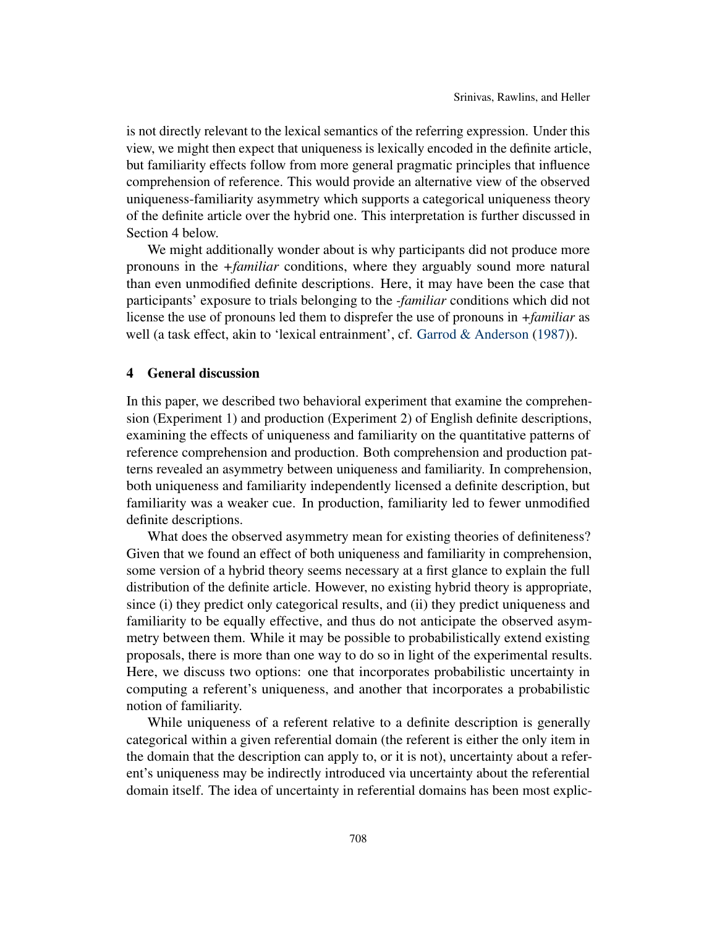is not directly relevant to the lexical semantics of the referring expression. Under this view, we might then expect that uniqueness is lexically encoded in the definite article, but familiarity effects follow from more general pragmatic principles that influence comprehension of reference. This would provide an alternative view of the observed uniqueness-familiarity asymmetry which supports a categorical uniqueness theory of the definite article over the hybrid one. This interpretation is further discussed in Section 4 below.

We might additionally wonder about is why participants did not produce more pronouns in the *+familiar* conditions, where they arguably sound more natural than even unmodified definite descriptions. Here, it may have been the case that participants' exposure to trials belonging to the *-familiar* conditions which did not license the use of pronouns led them to disprefer the use of pronouns in *+familiar* as well (a task effect, akin to 'lexical entrainment', cf. [Garrod & Anderson](#page-18-17) [\(1987\)](#page-18-17)).

## 4 General discussion

In this paper, we described two behavioral experiment that examine the comprehension (Experiment 1) and production (Experiment 2) of English definite descriptions, examining the effects of uniqueness and familiarity on the quantitative patterns of reference comprehension and production. Both comprehension and production patterns revealed an asymmetry between uniqueness and familiarity. In comprehension, both uniqueness and familiarity independently licensed a definite description, but familiarity was a weaker cue. In production, familiarity led to fewer unmodified definite descriptions.

What does the observed asymmetry mean for existing theories of definiteness? Given that we found an effect of both uniqueness and familiarity in comprehension, some version of a hybrid theory seems necessary at a first glance to explain the full distribution of the definite article. However, no existing hybrid theory is appropriate, since (i) they predict only categorical results, and (ii) they predict uniqueness and familiarity to be equally effective, and thus do not anticipate the observed asymmetry between them. While it may be possible to probabilistically extend existing proposals, there is more than one way to do so in light of the experimental results. Here, we discuss two options: one that incorporates probabilistic uncertainty in computing a referent's uniqueness, and another that incorporates a probabilistic notion of familiarity.

While uniqueness of a referent relative to a definite description is generally categorical within a given referential domain (the referent is either the only item in the domain that the description can apply to, or it is not), uncertainty about a referent's uniqueness may be indirectly introduced via uncertainty about the referential domain itself. The idea of uncertainty in referential domains has been most explic-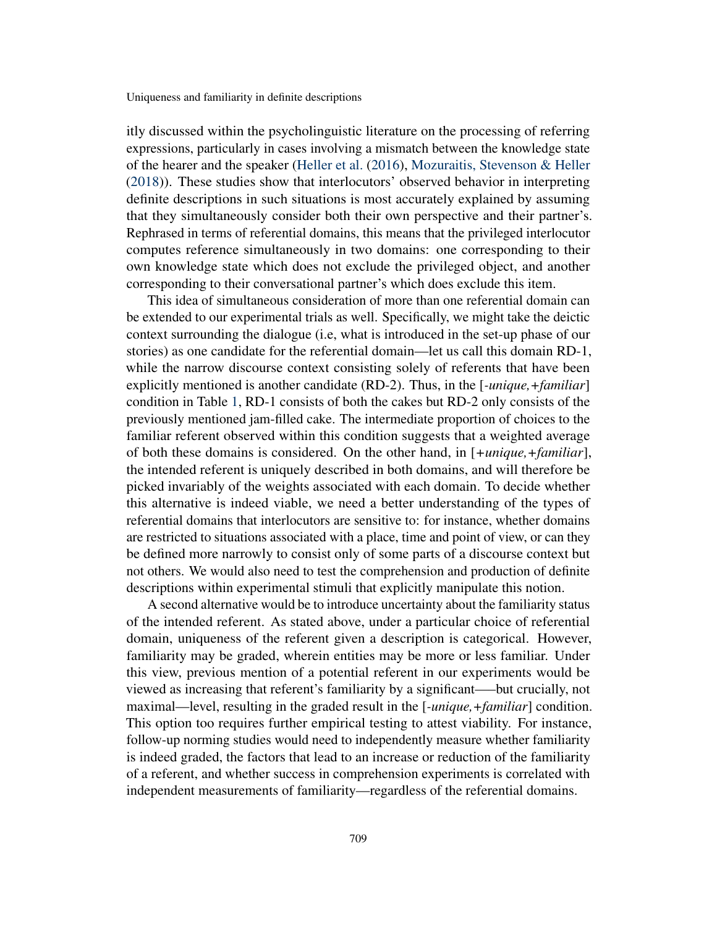itly discussed within the psycholinguistic literature on the processing of referring expressions, particularly in cases involving a mismatch between the knowledge state of the hearer and the speaker [\(Heller et al.](#page-18-12) [\(2016\)](#page-18-12), [Mozuraitis, Stevenson & Heller](#page-18-18) [\(2018\)](#page-18-18)). These studies show that interlocutors' observed behavior in interpreting definite descriptions in such situations is most accurately explained by assuming that they simultaneously consider both their own perspective and their partner's. Rephrased in terms of referential domains, this means that the privileged interlocutor computes reference simultaneously in two domains: one corresponding to their own knowledge state which does not exclude the privileged object, and another corresponding to their conversational partner's which does exclude this item.

This idea of simultaneous consideration of more than one referential domain can be extended to our experimental trials as well. Specifically, we might take the deictic context surrounding the dialogue (i.e, what is introduced in the set-up phase of our stories) as one candidate for the referential domain—let us call this domain RD-1, while the narrow discourse context consisting solely of referents that have been explicitly mentioned is another candidate (RD-2). Thus, in the [*-unique,+familiar*] condition in Table [1,](#page-6-0) RD-1 consists of both the cakes but RD-2 only consists of the previously mentioned jam-filled cake. The intermediate proportion of choices to the familiar referent observed within this condition suggests that a weighted average of both these domains is considered. On the other hand, in [*+unique,+familiar*], the intended referent is uniquely described in both domains, and will therefore be picked invariably of the weights associated with each domain. To decide whether this alternative is indeed viable, we need a better understanding of the types of referential domains that interlocutors are sensitive to: for instance, whether domains are restricted to situations associated with a place, time and point of view, or can they be defined more narrowly to consist only of some parts of a discourse context but not others. We would also need to test the comprehension and production of definite descriptions within experimental stimuli that explicitly manipulate this notion.

A second alternative would be to introduce uncertainty about the familiarity status of the intended referent. As stated above, under a particular choice of referential domain, uniqueness of the referent given a description is categorical. However, familiarity may be graded, wherein entities may be more or less familiar. Under this view, previous mention of a potential referent in our experiments would be viewed as increasing that referent's familiarity by a significant—–but crucially, not maximal—level, resulting in the graded result in the [*-unique,+familiar*] condition. This option too requires further empirical testing to attest viability. For instance, follow-up norming studies would need to independently measure whether familiarity is indeed graded, the factors that lead to an increase or reduction of the familiarity of a referent, and whether success in comprehension experiments is correlated with independent measurements of familiarity—regardless of the referential domains.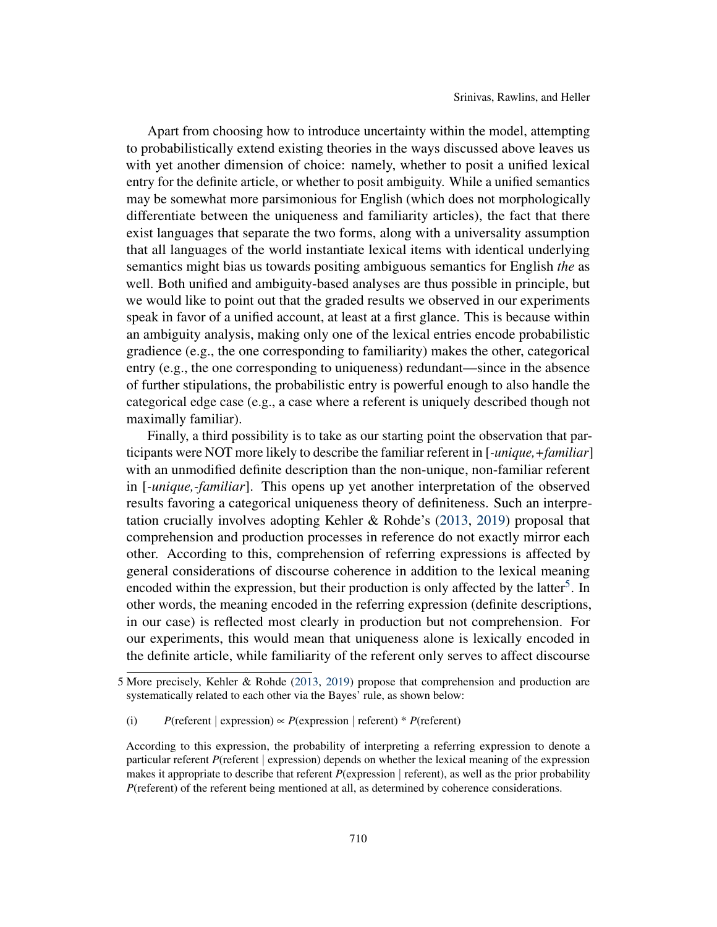Apart from choosing how to introduce uncertainty within the model, attempting to probabilistically extend existing theories in the ways discussed above leaves us with yet another dimension of choice: namely, whether to posit a unified lexical entry for the definite article, or whether to posit ambiguity. While a unified semantics may be somewhat more parsimonious for English (which does not morphologically differentiate between the uniqueness and familiarity articles), the fact that there exist languages that separate the two forms, along with a universality assumption that all languages of the world instantiate lexical items with identical underlying semantics might bias us towards positing ambiguous semantics for English *the* as well. Both unified and ambiguity-based analyses are thus possible in principle, but we would like to point out that the graded results we observed in our experiments speak in favor of a unified account, at least at a first glance. This is because within an ambiguity analysis, making only one of the lexical entries encode probabilistic gradience (e.g., the one corresponding to familiarity) makes the other, categorical entry (e.g., the one corresponding to uniqueness) redundant—since in the absence of further stipulations, the probabilistic entry is powerful enough to also handle the categorical edge case (e.g., a case where a referent is uniquely described though not maximally familiar).

Finally, a third possibility is to take as our starting point the observation that participants were NOT more likely to describe the familiar referent in [*-unique,+familiar*] with an unmodified definite description than the non-unique, non-familiar referent in [*-unique,-familiar*]. This opens up yet another interpretation of the observed results favoring a categorical uniqueness theory of definiteness. Such an interpretation crucially involves adopting Kehler & Rohde's [\(2013,](#page-18-16) [2019\)](#page-18-19) proposal that comprehension and production processes in reference do not exactly mirror each other. According to this, comprehension of referring expressions is affected by general considerations of discourse coherence in addition to the lexical meaning encoded within the expression, but their production is only affected by the latter<sup>[5](#page-0-0)</sup>. In other words, the meaning encoded in the referring expression (definite descriptions, in our case) is reflected most clearly in production but not comprehension. For our experiments, this would mean that uniqueness alone is lexically encoded in the definite article, while familiarity of the referent only serves to affect discourse

<sup>5</sup> More precisely, Kehler & Rohde [\(2013,](#page-18-16) [2019\)](#page-18-19) propose that comprehension and production are systematically related to each other via the Bayes' rule, as shown below:

<sup>(</sup>i) *P*(referent | expression)  $\propto$  *P*(expression | referent) \* *P*(referent)

According to this expression, the probability of interpreting a referring expression to denote a particular referent *P*(referent | expression) depends on whether the lexical meaning of the expression makes it appropriate to describe that referent *P*(expression | referent), as well as the prior probability *P*(referent) of the referent being mentioned at all, as determined by coherence considerations.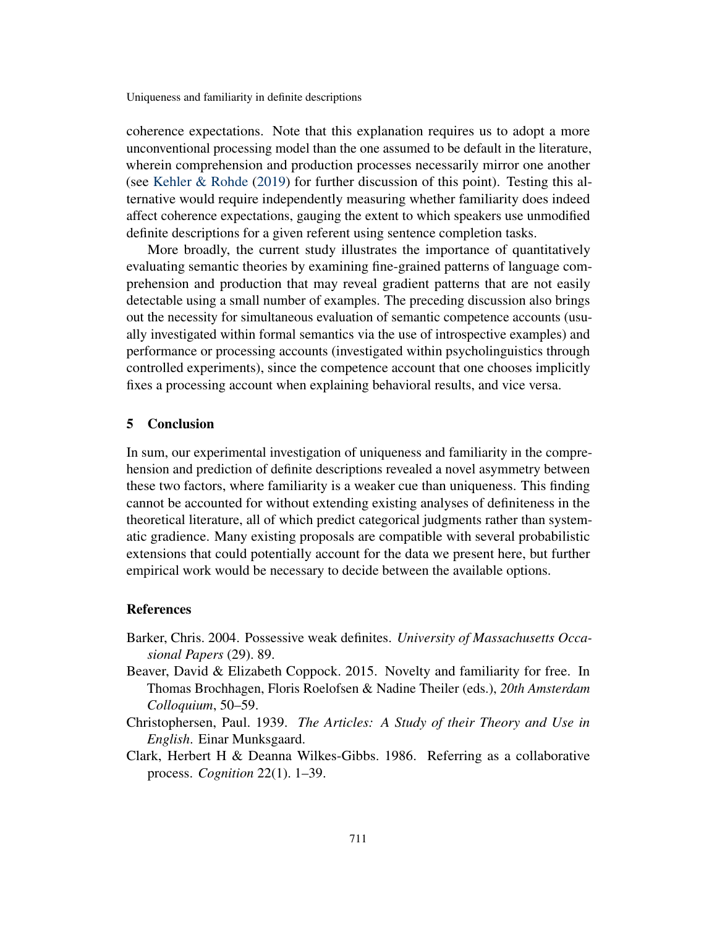coherence expectations. Note that this explanation requires us to adopt a more unconventional processing model than the one assumed to be default in the literature, wherein comprehension and production processes necessarily mirror one another (see [Kehler & Rohde](#page-18-19) [\(2019\)](#page-18-19) for further discussion of this point). Testing this alternative would require independently measuring whether familiarity does indeed affect coherence expectations, gauging the extent to which speakers use unmodified definite descriptions for a given referent using sentence completion tasks.

More broadly, the current study illustrates the importance of quantitatively evaluating semantic theories by examining fine-grained patterns of language comprehension and production that may reveal gradient patterns that are not easily detectable using a small number of examples. The preceding discussion also brings out the necessity for simultaneous evaluation of semantic competence accounts (usually investigated within formal semantics via the use of introspective examples) and performance or processing accounts (investigated within psycholinguistics through controlled experiments), since the competence account that one chooses implicitly fixes a processing account when explaining behavioral results, and vice versa.

# 5 Conclusion

In sum, our experimental investigation of uniqueness and familiarity in the comprehension and prediction of definite descriptions revealed a novel asymmetry between these two factors, where familiarity is a weaker cue than uniqueness. This finding cannot be accounted for without extending existing analyses of definiteness in the theoretical literature, all of which predict categorical judgments rather than systematic gradience. Many existing proposals are compatible with several probabilistic extensions that could potentially account for the data we present here, but further empirical work would be necessary to decide between the available options.

#### **References**

- <span id="page-17-0"></span>Barker, Chris. 2004. Possessive weak definites. *University of Massachusetts Occasional Papers* (29). 89.
- <span id="page-17-2"></span>Beaver, David & Elizabeth Coppock. 2015. Novelty and familiarity for free. In Thomas Brochhagen, Floris Roelofsen & Nadine Theiler (eds.), *20th Amsterdam Colloquium*, 50–59.
- <span id="page-17-1"></span>Christophersen, Paul. 1939. *The Articles: A Study of their Theory and Use in English*. Einar Munksgaard.
- <span id="page-17-3"></span>Clark, Herbert H & Deanna Wilkes-Gibbs. 1986. Referring as a collaborative process. *Cognition* 22(1). 1–39.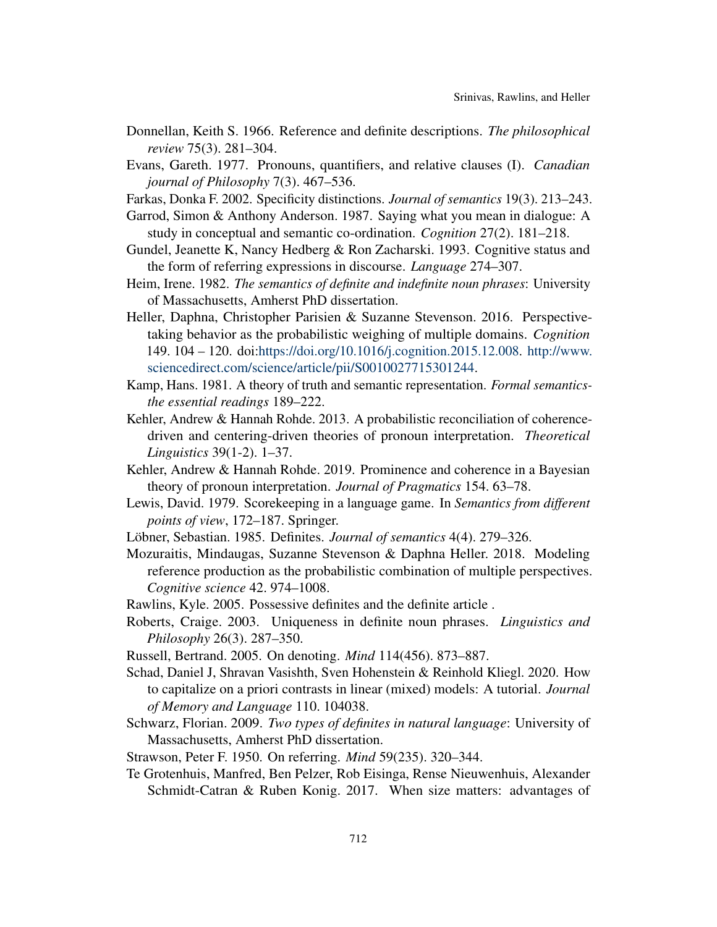- <span id="page-18-0"></span>Donnellan, Keith S. 1966. Reference and definite descriptions. *The philosophical review* 75(3). 281–304.
- <span id="page-18-11"></span>Evans, Gareth. 1977. Pronouns, quantifiers, and relative clauses (I). *Canadian journal of Philosophy* 7(3). 467–536.
- <span id="page-18-8"></span>Farkas, Donka F. 2002. Specificity distinctions. *Journal of semantics* 19(3). 213–243.
- <span id="page-18-17"></span>Garrod, Simon & Anthony Anderson. 1987. Saying what you mean in dialogue: A study in conceptual and semantic co-ordination. *Cognition* 27(2). 181–218.
- <span id="page-18-1"></span>Gundel, Jeanette K, Nancy Hedberg & Ron Zacharski. 1993. Cognitive status and the form of referring expressions in discourse. *Language* 274–307.
- <span id="page-18-5"></span>Heim, Irene. 1982. *The semantics of definite and indefinite noun phrases*: University of Massachusetts, Amherst PhD dissertation.
- <span id="page-18-12"></span>Heller, Daphna, Christopher Parisien & Suzanne Stevenson. 2016. Perspectivetaking behavior as the probabilistic weighing of multiple domains. *Cognition* 149. 104 – 120. doi[:https://doi.org/10.1016/j.cognition.2015.12.008.](https://doi.org/https://doi.org/10.1016/j.cognition.2015.12.008) [http://www.](http://www.sciencedirect.com/science/article/pii/S0010027715301244) [sciencedirect.com/science/article/pii/S0010027715301244.](http://www.sciencedirect.com/science/article/pii/S0010027715301244)
- <span id="page-18-6"></span>Kamp, Hans. 1981. A theory of truth and semantic representation. *Formal semanticsthe essential readings* 189–222.
- <span id="page-18-16"></span>Kehler, Andrew & Hannah Rohde. 2013. A probabilistic reconciliation of coherencedriven and centering-driven theories of pronoun interpretation. *Theoretical Linguistics* 39(1-2). 1–37.
- <span id="page-18-19"></span>Kehler, Andrew & Hannah Rohde. 2019. Prominence and coherence in a Bayesian theory of pronoun interpretation. *Journal of Pragmatics* 154. 63–78.
- <span id="page-18-13"></span>Lewis, David. 1979. Scorekeeping in a language game. In *Semantics from different points of view*, 172–187. Springer.
- <span id="page-18-4"></span>Löbner, Sebastian. 1985. Definites. *Journal of semantics* 4(4). 279–326.
- <span id="page-18-18"></span>Mozuraitis, Mindaugas, Suzanne Stevenson & Daphna Heller. 2018. Modeling reference production as the probabilistic combination of multiple perspectives. *Cognitive science* 42. 974–1008.
- <span id="page-18-9"></span>Rawlins, Kyle. 2005. Possessive definites and the definite article .
- <span id="page-18-10"></span>Roberts, Craige. 2003. Uniqueness in definite noun phrases. *Linguistics and Philosophy* 26(3). 287–350.
- <span id="page-18-2"></span>Russell, Bertrand. 2005. On denoting. *Mind* 114(456). 873–887.
- <span id="page-18-14"></span>Schad, Daniel J, Shravan Vasishth, Sven Hohenstein & Reinhold Kliegl. 2020. How to capitalize on a priori contrasts in linear (mixed) models: A tutorial. *Journal of Memory and Language* 110. 104038.
- <span id="page-18-7"></span>Schwarz, Florian. 2009. *Two types of definites in natural language*: University of Massachusetts, Amherst PhD dissertation.
- <span id="page-18-3"></span>Strawson, Peter F. 1950. On referring. *Mind* 59(235). 320–344.
- <span id="page-18-15"></span>Te Grotenhuis, Manfred, Ben Pelzer, Rob Eisinga, Rense Nieuwenhuis, Alexander Schmidt-Catran & Ruben Konig. 2017. When size matters: advantages of